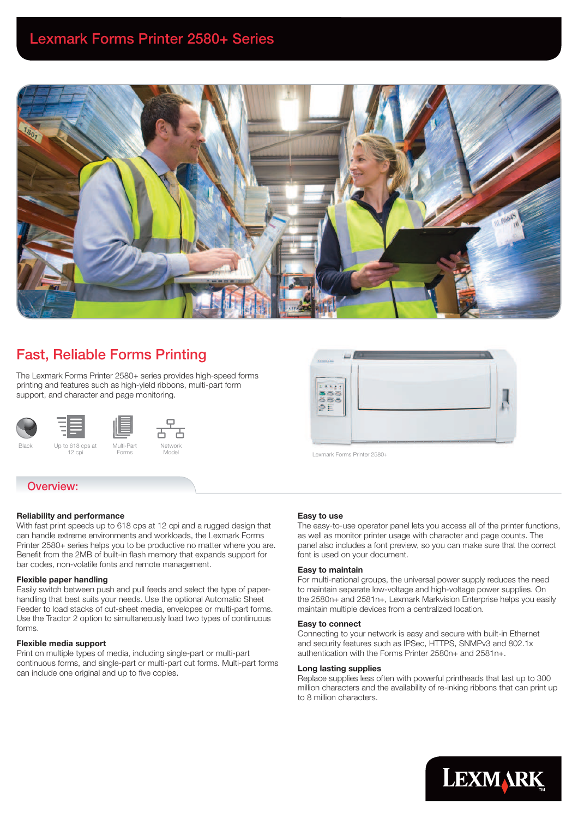

#### Fast, Reliable Forms Printing **ب**

The Lexmark Forms Printer 2580+ series provides high-speed forms printing and features such as high-yield ribbons, multi-part form support, and character and page monitoring.



# Overview:

# Reliability and performance

  With fast print speeds up to 618 cps at 12 cpi and a rugged design that can handle extreme environments and workloads, the Lexmark Forms Printer 2580+ series helps you to be productive no matter where you are. Benefit from the 2MB of built-in flash memory that expands support for bar codes, non-volatile fonts and remote management.

# Flexible paper handling

Easily switch between push and pull feeds and select the type of paperhandling that best suits your needs. Use the optional Automatic Sheet Feeder to load stacks of cut-sheet media, envelopes or multi-part forms. Use the Tractor 2 option to simultaneously load two types of continuous forms.

## Flexible media support

Print on multiple types of media, including single-part or multi-part continuous forms, and single-part or multi-part cut forms. Multi-part forms can include one original and up to five copies.



Lexmark Forms Printer 2580+

# Easy to use

The easy-to-use operator panel lets you access all of the printer functions, as well as monitor printer usage with character and page counts. The panel also includes a font preview, so you can make sure that the correct font is used on your document.

## Easy to maintain

For multi-national groups, the universal power supply reduces the need to maintain separate low-voltage and high-voltage power supplies. On the 2580n+ and 2581n+, Lexmark Markvision Enterprise helps you easily maintain multiple devices from a centralized location.

#### Easy to connect

Connecting to your network is easy and secure with built-in Ethernet and security features such as IPSec, HTTPS, SNMPv3 and 802.1x authentication with the Forms Printer 2580n+ and 2581n+.

#### Long lasting supplies

Replace supplies less often with powerful printheads that last up to 300 million characters and the availability of re-inking ribbons that can print up to 8 million characters.